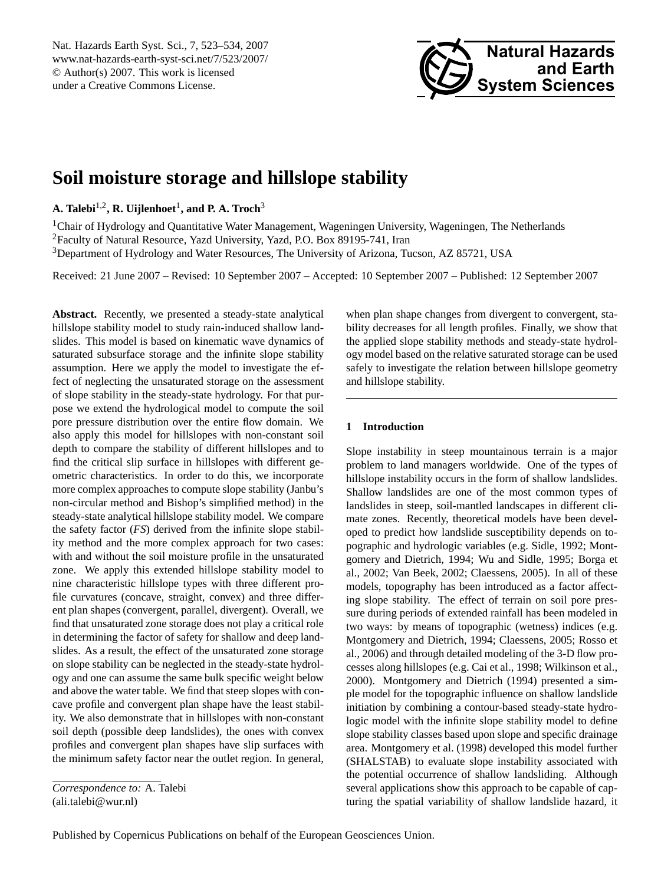<span id="page-0-0"></span>Nat. Hazards Earth Syst. Sci., 7, 523–534, 2007 www.nat-hazards-earth-syst-sci.net/7/523/2007/ © Author(s) 2007. This work is licensed under a Creative Commons License.



# **Soil moisture storage and hillslope stability**

**A. Talebi**1,2**, R. Uijlenhoet**<sup>1</sup> **, and P. A. Troch**<sup>3</sup>

<sup>1</sup>Chair of Hydrology and Quantitative Water Management, Wageningen University, Wageningen, The Netherlands <sup>2</sup>Faculty of Natural Resource, Yazd University, Yazd, P.O. Box 89195-741, Iran <sup>3</sup>Department of Hydrology and Water Resources, The University of Arizona, Tucson, AZ 85721, USA

Received: 21 June 2007 – Revised: 10 September 2007 – Accepted: 10 September 2007 – Published: 12 September 2007

**Abstract.** Recently, we presented a steady-state analytical hillslope stability model to study rain-induced shallow landslides. This model is based on kinematic wave dynamics of saturated subsurface storage and the infinite slope stability assumption. Here we apply the model to investigate the effect of neglecting the unsaturated storage on the assessment of slope stability in the steady-state hydrology. For that purpose we extend the hydrological model to compute the soil pore pressure distribution over the entire flow domain. We also apply this model for hillslopes with non-constant soil depth to compare the stability of different hillslopes and to find the critical slip surface in hillslopes with different geometric characteristics. In order to do this, we incorporate more complex approaches to compute slope stability (Janbu's non-circular method and Bishop's simplified method) in the steady-state analytical hillslope stability model. We compare the safety factor (*FS*) derived from the infinite slope stability method and the more complex approach for two cases: with and without the soil moisture profile in the unsaturated zone. We apply this extended hillslope stability model to nine characteristic hillslope types with three different profile curvatures (concave, straight, convex) and three different plan shapes (convergent, parallel, divergent). Overall, we find that unsaturated zone storage does not play a critical role in determining the factor of safety for shallow and deep landslides. As a result, the effect of the unsaturated zone storage on slope stability can be neglected in the steady-state hydrology and one can assume the same bulk specific weight below and above the water table. We find that steep slopes with concave profile and convergent plan shape have the least stability. We also demonstrate that in hillslopes with non-constant soil depth (possible deep landslides), the ones with convex profiles and convergent plan shapes have slip surfaces with the minimum safety factor near the outlet region. In general,

*Correspondence to:* A. Talebi (ali.talebi@wur.nl)

when plan shape changes from divergent to convergent, stability decreases for all length profiles. Finally, we show that the applied slope stability methods and steady-state hydrology model based on the relative saturated storage can be used safely to investigate the relation between hillslope geometry and hillslope stability.

# **1 Introduction**

Slope instability in steep mountainous terrain is a major problem to land managers worldwide. One of the types of hillslope instability occurs in the form of shallow landslides. Shallow landslides are one of the most common types of landslides in steep, soil-mantled landscapes in different climate zones. Recently, theoretical models have been developed to predict how landslide susceptibility depends on topographic and hydrologic variables (e.g. Sidle, 1992; Montgomery and Dietrich, 1994; Wu and Sidle, 1995; Borga et al., 2002; Van Beek, 2002; Claessens, 2005). In all of these models, topography has been introduced as a factor affecting slope stability. The effect of terrain on soil pore pressure during periods of extended rainfall has been modeled in two ways: by means of topographic (wetness) indices (e.g. Montgomery and Dietrich, 1994; Claessens, 2005; Rosso et al., 2006) and through detailed modeling of the 3-D flow processes along hillslopes (e.g. Cai et al., 1998; Wilkinson et al., 2000). Montgomery and Dietrich (1994) presented a simple model for the topographic influence on shallow landslide initiation by combining a contour-based steady-state hydrologic model with the infinite slope stability model to define slope stability classes based upon slope and specific drainage area. Montgomery et al. (1998) developed this model further (SHALSTAB) to evaluate slope instability associated with the potential occurrence of shallow landsliding. Although several applications show this approach to be capable of capturing the spatial variability of shallow landslide hazard, it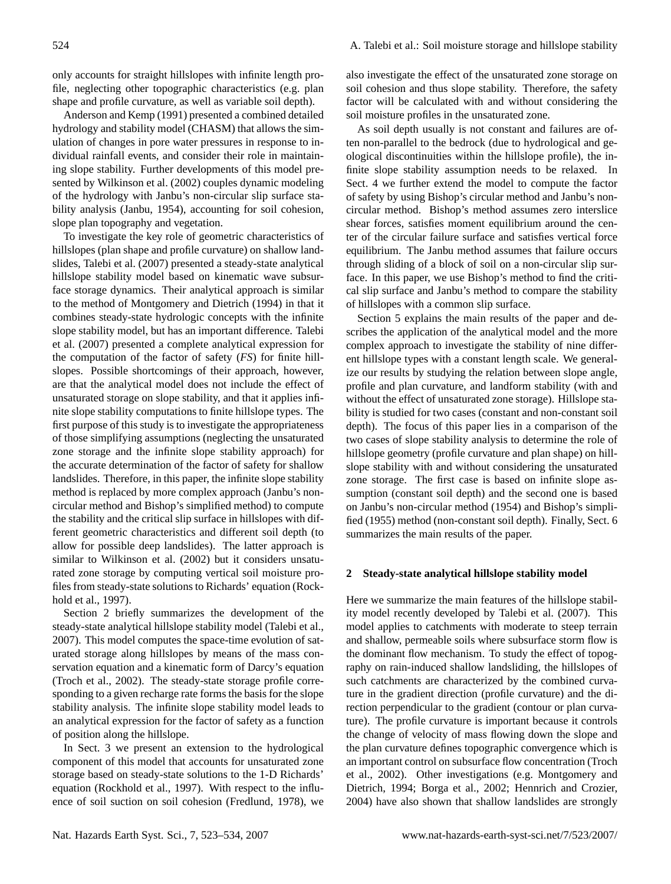only accounts for straight hillslopes with infinite length profile, neglecting other topographic characteristics (e.g. plan shape and profile curvature, as well as variable soil depth).

Anderson and Kemp (1991) presented a combined detailed hydrology and stability model (CHASM) that allows the simulation of changes in pore water pressures in response to individual rainfall events, and consider their role in maintaining slope stability. Further developments of this model presented by Wilkinson et al. (2002) couples dynamic modeling of the hydrology with Janbu's non-circular slip surface stability analysis (Janbu, 1954), accounting for soil cohesion, slope plan topography and vegetation.

To investigate the key role of geometric characteristics of hillslopes (plan shape and profile curvature) on shallow landslides, Talebi et al. (2007) presented a steady-state analytical hillslope stability model based on kinematic wave subsurface storage dynamics. Their analytical approach is similar to the method of Montgomery and Dietrich (1994) in that it combines steady-state hydrologic concepts with the infinite slope stability model, but has an important difference. Talebi et al. (2007) presented a complete analytical expression for the computation of the factor of safety (*FS*) for finite hillslopes. Possible shortcomings of their approach, however, are that the analytical model does not include the effect of unsaturated storage on slope stability, and that it applies infinite slope stability computations to finite hillslope types. The first purpose of this study is to investigate the appropriateness of those simplifying assumptions (neglecting the unsaturated zone storage and the infinite slope stability approach) for the accurate determination of the factor of safety for shallow landslides. Therefore, in this paper, the infinite slope stability method is replaced by more complex approach (Janbu's noncircular method and Bishop's simplified method) to compute the stability and the critical slip surface in hillslopes with different geometric characteristics and different soil depth (to allow for possible deep landslides). The latter approach is similar to Wilkinson et al. (2002) but it considers unsaturated zone storage by computing vertical soil moisture profiles from steady-state solutions to Richards' equation (Rockhold et al., 1997).

Section 2 briefly summarizes the development of the steady-state analytical hillslope stability model (Talebi et al., 2007). This model computes the space-time evolution of saturated storage along hillslopes by means of the mass conservation equation and a kinematic form of Darcy's equation (Troch et al., 2002). The steady-state storage profile corresponding to a given recharge rate forms the basis for the slope stability analysis. The infinite slope stability model leads to an analytical expression for the factor of safety as a function of position along the hillslope.

In Sect. 3 we present an extension to the hydrological component of this model that accounts for unsaturated zone storage based on steady-state solutions to the 1-D Richards' equation (Rockhold et al., 1997). With respect to the influence of soil suction on soil cohesion (Fredlund, 1978), we

also investigate the effect of the unsaturated zone storage on soil cohesion and thus slope stability. Therefore, the safety factor will be calculated with and without considering the soil moisture profiles in the unsaturated zone.

As soil depth usually is not constant and failures are often non-parallel to the bedrock (due to hydrological and geological discontinuities within the hillslope profile), the infinite slope stability assumption needs to be relaxed. In Sect. 4 we further extend the model to compute the factor of safety by using Bishop's circular method and Janbu's noncircular method. Bishop's method assumes zero interslice shear forces, satisfies moment equilibrium around the center of the circular failure surface and satisfies vertical force equilibrium. The Janbu method assumes that failure occurs through sliding of a block of soil on a non-circular slip surface. In this paper, we use Bishop's method to find the critical slip surface and Janbu's method to compare the stability of hillslopes with a common slip surface.

Section 5 explains the main results of the paper and describes the application of the analytical model and the more complex approach to investigate the stability of nine different hillslope types with a constant length scale. We generalize our results by studying the relation between slope angle, profile and plan curvature, and landform stability (with and without the effect of unsaturated zone storage). Hillslope stability is studied for two cases (constant and non-constant soil depth). The focus of this paper lies in a comparison of the two cases of slope stability analysis to determine the role of hillslope geometry (profile curvature and plan shape) on hillslope stability with and without considering the unsaturated zone storage. The first case is based on infinite slope assumption (constant soil depth) and the second one is based on Janbu's non-circular method (1954) and Bishop's simplified (1955) method (non-constant soil depth). Finally, Sect. 6 summarizes the main results of the paper.

#### **2 Steady-state analytical hillslope stability model**

Here we summarize the main features of the hillslope stability model recently developed by Talebi et al. (2007). This model applies to catchments with moderate to steep terrain and shallow, permeable soils where subsurface storm flow is the dominant flow mechanism. To study the effect of topography on rain-induced shallow landsliding, the hillslopes of such catchments are characterized by the combined curvature in the gradient direction (profile curvature) and the direction perpendicular to the gradient (contour or plan curvature). The profile curvature is important because it controls the change of velocity of mass flowing down the slope and the plan curvature defines topographic convergence which is an important control on subsurface flow concentration (Troch et al., 2002). Other investigations (e.g. Montgomery and Dietrich, 1994; Borga et al., 2002; Hennrich and Crozier, 2004) have also shown that shallow landslides are strongly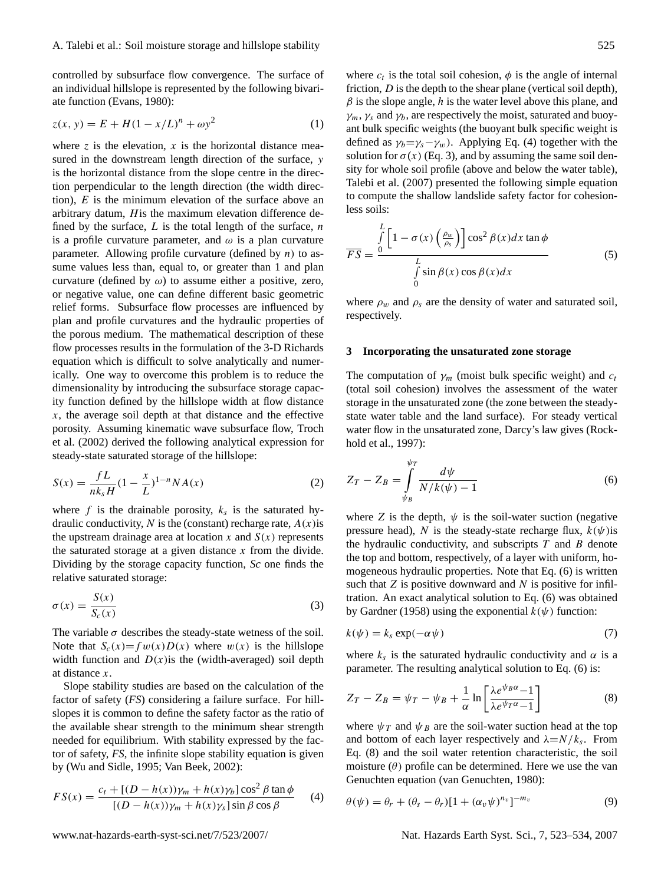controlled by subsurface flow convergence. The surface of an individual hillslope is represented by the following bivariate function (Evans, 1980):

$$
z(x, y) = E + H(1 - x/L)^{n} + \omega y^{2}
$$
 (1)

where z is the elevation, x is the horizontal distance measured in the downstream length direction of the surface, y is the horizontal distance from the slope centre in the direction perpendicular to the length direction (the width direction), E is the minimum elevation of the surface above an arbitrary datum, His the maximum elevation difference defined by the surface,  $L$  is the total length of the surface,  $n$ is a profile curvature parameter, and  $\omega$  is a plan curvature parameter. Allowing profile curvature (defined by  $n$ ) to assume values less than, equal to, or greater than 1 and plan curvature (defined by  $\omega$ ) to assume either a positive, zero, or negative value, one can define different basic geometric relief forms. Subsurface flow processes are influenced by plan and profile curvatures and the hydraulic properties of the porous medium. The mathematical description of these flow processes results in the formulation of the 3-D Richards equation which is difficult to solve analytically and numerically. One way to overcome this problem is to reduce the dimensionality by introducing the subsurface storage capacity function defined by the hillslope width at flow distance  $x$ , the average soil depth at that distance and the effective porosity. Assuming kinematic wave subsurface flow, Troch et al. (2002) derived the following analytical expression for steady-state saturated storage of the hillslope:

$$
S(x) = \frac{fL}{nk_sH} (1 - \frac{x}{L})^{1-n} N A(x)
$$
 (2)

where  $f$  is the drainable porosity,  $k<sub>s</sub>$  is the saturated hydraulic conductivity, N is the (constant) recharge rate,  $A(x)$  is the upstream drainage area at location  $x$  and  $S(x)$  represents the saturated storage at a given distance  $x$  from the divide. Dividing by the storage capacity function, *Sc* one finds the relative saturated storage:

$$
\sigma(x) = \frac{S(x)}{S_c(x)}\tag{3}
$$

The variable  $\sigma$  describes the steady-state wetness of the soil. Note that  $S_c(x) = fw(x)D(x)$  where  $w(x)$  is the hillslope width function and  $D(x)$  is the (width-averaged) soil depth at distance x.

Slope stability studies are based on the calculation of the factor of safety (*FS*) considering a failure surface. For hillslopes it is common to define the safety factor as the ratio of the available shear strength to the minimum shear strength needed for equilibrium. With stability expressed by the factor of safety, *FS*, the infinite slope stability equation is given by (Wu and Sidle, 1995; Van Beek, 2002):

$$
FS(x) = \frac{c_t + [(D - h(x))\gamma_m + h(x)\gamma_b]\cos^2\beta\tan\phi}{[(D - h(x))\gamma_m + h(x)\gamma_s]\sin\beta\cos\beta}
$$
(4)

where  $c_t$  is the total soil cohesion,  $\phi$  is the angle of internal friction, *D* is the depth to the shear plane (vertical soil depth),  $\beta$  is the slope angle, h is the water level above this plane, and  $\gamma_m$ ,  $\gamma_s$  and  $\gamma_b$ , are respectively the moist, saturated and buoyant bulk specific weights (the buoyant bulk specific weight is defined as  $\gamma_b = \gamma_s - \gamma_w$ ). Applying Eq. (4) together with the solution for  $\sigma(x)$  (Eq. 3), and by assuming the same soil density for whole soil profile (above and below the water table), Talebi et al. (2007) presented the following simple equation to compute the shallow landslide safety factor for cohesionless soils:

$$
\overline{FS} = \frac{\int_{0}^{L} \left[1 - \sigma(x) \left(\frac{\rho_w}{\rho_s}\right)\right] \cos^2 \beta(x) dx \tan \phi}{\int_{0}^{L} \sin \beta(x) \cos \beta(x) dx}
$$
(5)

where  $\rho_w$  and  $\rho_s$  are the density of water and saturated soil, respectively.

#### **3 Incorporating the unsaturated zone storage**

The computation of  $\gamma_m$  (moist bulk specific weight) and  $c_t$ (total soil cohesion) involves the assessment of the water storage in the unsaturated zone (the zone between the steadystate water table and the land surface). For steady vertical water flow in the unsaturated zone, Darcy's law gives (Rockhold et al., 1997):

$$
Z_T - Z_B = \int_{\psi_B}^{\psi_T} \frac{d\psi}{N/k(\psi) - 1}
$$
\n(6)

where Z is the depth,  $\psi$  is the soil-water suction (negative pressure head), N is the steady-state recharge flux,  $k(\psi)$  is the hydraulic conductivity, and subscripts  $T$  and  $B$  denote the top and bottom, respectively, of a layer with uniform, homogeneous hydraulic properties. Note that Eq. (6) is written such that  $Z$  is positive downward and  $N$  is positive for infiltration. An exact analytical solution to Eq. (6) was obtained by Gardner (1958) using the exponential  $k(\psi)$  function:

$$
k(\psi) = k_s \exp(-\alpha \psi) \tag{7}
$$

where  $k_s$  is the saturated hydraulic conductivity and  $\alpha$  is a parameter. The resulting analytical solution to Eq. (6) is:

$$
Z_T - Z_B = \psi_T - \psi_B + \frac{1}{\alpha} \ln \left[ \frac{\lambda e^{\psi_B \alpha} - 1}{\lambda e^{\psi_T \alpha} - 1} \right]
$$
 (8)

where  $\psi_T$  and  $\psi_B$  are the soil-water suction head at the top and bottom of each layer respectively and  $\lambda = N/k_s$ . From Eq. (8) and the soil water retention characteristic, the soil moisture  $(\theta)$  profile can be determined. Here we use the van Genuchten equation (van Genuchten, 1980):

$$
\theta(\psi) = \theta_r + (\theta_s - \theta_r)[1 + (\alpha_v \psi)^{n_v}]^{-m_v}
$$
\n(9)

www.nat-hazards-earth-syst-sci.net/7/523/2007/ Nat. Hazards Earth Syst. Sci., 7, 523[–534,](#page-0-0) 2007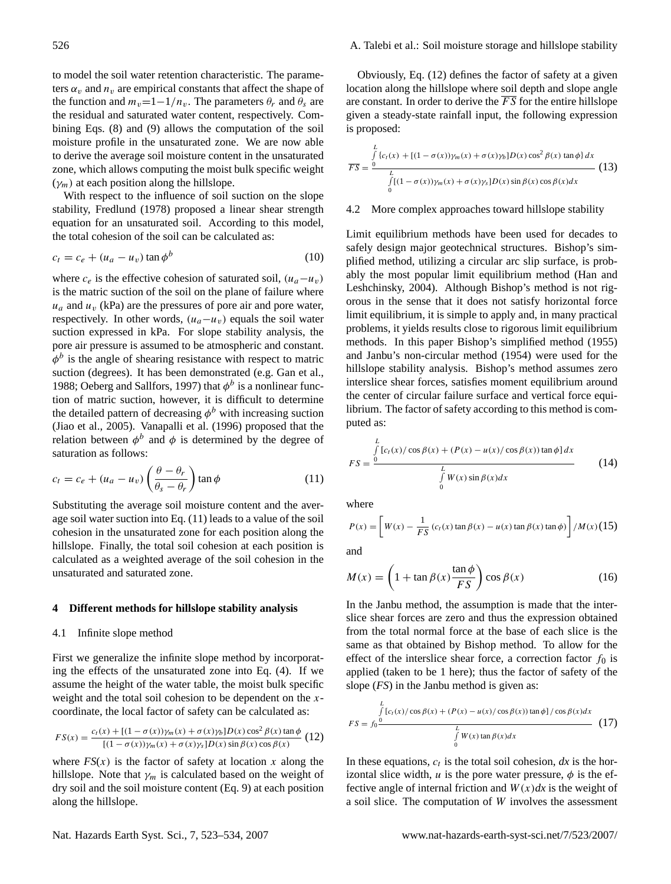to model the soil water retention characteristic. The parameters  $\alpha_v$  and  $n_v$  are empirical constants that affect the shape of the function and  $m_v=1-1/n_v$ . The parameters  $\theta_r$  and  $\theta_s$  are the residual and saturated water content, respectively. Combining Eqs. (8) and (9) allows the computation of the soil moisture profile in the unsaturated zone. We are now able to derive the average soil moisture content in the unsaturated zone, which allows computing the moist bulk specific weight  $(\gamma_m)$  at each position along the hillslope.

With respect to the influence of soil suction on the slope stability, Fredlund (1978) proposed a linear shear strength equation for an unsaturated soil. According to this model, the total cohesion of the soil can be calculated as:

$$
c_t = c_e + (u_a - u_v) \tan \phi^b \tag{10}
$$

where  $c_e$  is the effective cohesion of saturated soil,  $(u_a - u_v)$ is the matric suction of the soil on the plane of failure where  $u_a$  and  $u_v$  (kPa) are the pressures of pore air and pore water, respectively. In other words,  $(u_a - u_v)$  equals the soil water suction expressed in kPa. For slope stability analysis, the pore air pressure is assumed to be atmospheric and constant.  $\phi^b$  is the angle of shearing resistance with respect to matric suction (degrees). It has been demonstrated (e.g. Gan et al., 1988; Oeberg and Sallfors, 1997) that  $\phi^b$  is a nonlinear function of matric suction, however, it is difficult to determine the detailed pattern of decreasing  $\phi^b$  with increasing suction (Jiao et al., 2005). Vanapalli et al. (1996) proposed that the relation between  $\phi^b$  and  $\phi$  is determined by the degree of saturation as follows:

$$
c_t = c_e + (u_a - u_v) \left(\frac{\theta - \theta_r}{\theta_s - \theta_r}\right) \tan \phi \tag{11}
$$

Substituting the average soil moisture content and the average soil water suction into Eq. (11) leads to a value of the soil cohesion in the unsaturated zone for each position along the hillslope. Finally, the total soil cohesion at each position is calculated as a weighted average of the soil cohesion in the unsaturated and saturated zone.

#### **4 Different methods for hillslope stability analysis**

#### 4.1 Infinite slope method

First we generalize the infinite slope method by incorporating the effects of the unsaturated zone into Eq. (4). If we assume the height of the water table, the moist bulk specific weight and the total soil cohesion to be dependent on the xcoordinate, the local factor of safety can be calculated as:

$$
FS(x) = \frac{c_t(x) + [(1 - \sigma(x))\gamma_m(x) + \sigma(x)\gamma_b]D(x)\cos^2\beta(x)\tan\phi}{[(1 - \sigma(x))\gamma_m(x) + \sigma(x)\gamma_b]D(x)\sin\beta(x)\cos\beta(x)}
$$
(12)

where  $FS(x)$  is the factor of safety at location x along the hillslope. Note that  $\gamma_m$  is calculated based on the weight of dry soil and the soil moisture content (Eq. 9) at each position along the hillslope.

Obviously, Eq. (12) defines the factor of safety at a given location along the hillslope where soil depth and slope angle are constant. In order to derive the  $\overline{FS}$  for the entire hillslope given a steady-state rainfall input, the following expression is proposed:

$$
\overline{FS} = \frac{\int_{0}^{L} \{c_t(x) + [(1 - \sigma(x))\gamma_m(x) + \sigma(x)\gamma_b] D(x) \cos^2 \beta(x) \tan \phi\} dx}{\int_{0}^{L} [(1 - \sigma(x))\gamma_m(x) + \sigma(x)\gamma_s] D(x) \sin \beta(x) \cos \beta(x) dx}
$$
(13)

## 4.2 More complex approaches toward hillslope stability

Limit equilibrium methods have been used for decades to safely design major geotechnical structures. Bishop's simplified method, utilizing a circular arc slip surface, is probably the most popular limit equilibrium method (Han and Leshchinsky, 2004). Although Bishop's method is not rigorous in the sense that it does not satisfy horizontal force limit equilibrium, it is simple to apply and, in many practical problems, it yields results close to rigorous limit equilibrium methods. In this paper Bishop's simplified method (1955) and Janbu's non-circular method (1954) were used for the hillslope stability analysis. Bishop's method assumes zero interslice shear forces, satisfies moment equilibrium around the center of circular failure surface and vertical force equilibrium. The factor of safety according to this method is computed as:

$$
FS = \frac{\int\limits_{0}^{T} [c_t(x)/\cos\beta(x) + (P(x) - u(x)/\cos\beta(x))\tan\phi] dx}{\int\limits_{0}^{L} W(x)\sin\beta(x) dx}
$$
(14)

where

RL

$$
P(x) = \left[W(x) - \frac{1}{FS} (c_t(x) \tan \beta(x) - u(x) \tan \beta(x) \tan \phi)\right] / M(x) (15)
$$

and

$$
M(x) = \left(1 + \tan \beta(x) \frac{\tan \phi}{FS}\right) \cos \beta(x) \tag{16}
$$

In the Janbu method, the assumption is made that the interslice shear forces are zero and thus the expression obtained from the total normal force at the base of each slice is the same as that obtained by Bishop method. To allow for the effect of the interslice shear force, a correction factor  $f_0$  is applied (taken to be 1 here); thus the factor of safety of the slope (*FS*) in the Janbu method is given as:

$$
FS = f_0 \frac{\int\limits_0^L [c_t(x)/\cos\beta(x) + (P(x) - u(x)/\cos\beta(x))\tan\phi]/\cos\beta(x)dx}{\int\limits_0^L W(x)\tan\beta(x)dx}
$$
 (17)

In these equations,  $c_t$  is the total soil cohesion,  $dx$  is the horizontal slice width, u is the pore water pressure,  $\phi$  is the effective angle of internal friction and  $W(x)dx$  is the weight of a soil slice. The computation of W involves the assessment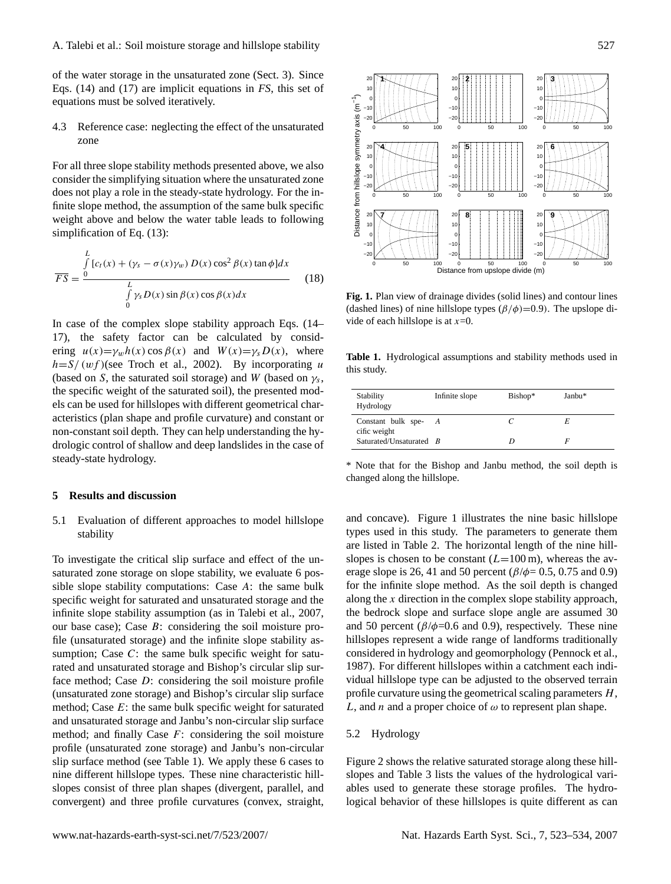of the water storage in the unsaturated zone (Sect. 3). Since Eqs. (14) and (17) are implicit equations in *FS*, this set of equations must be solved iteratively.

4.3 Reference case: neglecting the effect of the unsaturated zone

For all three slope stability methods presented above, we also consider the simplifying situation where the unsaturated zone does not play a role in the steady-state hydrology. For the infinite slope method, the assumption of the same bulk specific weight above and below the water table leads to following simplification of Eq.  $(13)$ :

$$
\overline{FS} = \frac{\int_{0}^{L} [c_t(x) + (\gamma_s - \sigma(x)\gamma_w) D(x) \cos^2 \beta(x) \tan \phi] dx}{\int_{0}^{L} \gamma_s D(x) \sin \beta(x) \cos \beta(x) dx}
$$
(18)

In case of the complex slope stability approach Eqs. (14– 17), the safety factor can be calculated by considering  $u(x)=\gamma_w h(x) \cos \beta(x)$  and  $W(x)=\gamma_s D(x)$ , where  $h=S/(wf)$ (see Troch et al., 2002). By incorporating u (based on S, the saturated soil storage) and W (based on  $\gamma_s$ , the specific weight of the saturated soil), the presented models can be used for hillslopes with different geometrical characteristics (plan shape and profile curvature) and constant or non-constant soil depth. They can help understanding the hydrologic control of shallow and deep landslides in the case of steady-state hydrology.

# **5 Results and discussion**

# 5.1 Evaluation of different approaches to model hillslope stability

To investigate the critical slip surface and effect of the unsaturated zone storage on slope stability, we evaluate 6 possible slope stability computations: Case A: the same bulk specific weight for saturated and unsaturated storage and the infinite slope stability assumption (as in Talebi et al., 2007, our base case); Case B: considering the soil moisture profile (unsaturated storage) and the infinite slope stability assumption; Case  $C$ : the same bulk specific weight for saturated and unsaturated storage and Bishop's circular slip surface method; Case D: considering the soil moisture profile (unsaturated zone storage) and Bishop's circular slip surface method; Case  $E$ : the same bulk specific weight for saturated and unsaturated storage and Janbu's non-circular slip surface method; and finally Case  $F$ : considering the soil moisture profile (unsaturated zone storage) and Janbu's non-circular slip surface method (see Table 1). We apply these 6 cases to nine different hillslope types. These nine characteristic hillslopes consist of three plan shapes (divergent, parallel, and convergent) and three profile curvatures (convex, straight,



**Fig. 1.** Plan view of drainage divides (solid lines) and contour lines (dashed lines) of nine hillslope types  $(\beta/\phi)=0.9$ ). The upslope divide of each hillslope is at  $x=0$ .

**Table 1.** Hydrological assumptions and stability methods used in this study.

| Stability<br>Hydrology             | Infinite slope | Bishop* | $Janhu*$ |
|------------------------------------|----------------|---------|----------|
| Constant bulk spe-<br>cific weight | A              |         |          |
| Saturated/Unsaturated $B$          |                |         |          |

\* Note that for the Bishop and Janbu method, the soil depth is changed along the hillslope.

and concave). Figure 1 illustrates the nine basic hillslope types used in this study. The parameters to generate them are listed in Table 2. The horizontal length of the nine hillslopes is chosen to be constant  $(L=100 \text{ m})$ , whereas the average slope is 26, 41 and 50 percent ( $\beta/\phi$  = 0.5, 0.75 and 0.9) for the infinite slope method. As the soil depth is changed along the  $x$  direction in the complex slope stability approach, the bedrock slope and surface slope angle are assumed 30 and 50 percent ( $\beta/\phi$ =0.6 and 0.9), respectively. These nine hillslopes represent a wide range of landforms traditionally considered in hydrology and geomorphology (Pennock et al., 1987). For different hillslopes within a catchment each individual hillslope type can be adjusted to the observed terrain profile curvature using the geometrical scaling parameters  $H$ , L, and n and a proper choice of  $\omega$  to represent plan shape.

## 5.2 Hydrology

Figure 2 shows the relative saturated storage along these hillslopes and Table 3 lists the values of the hydrological variables used to generate these storage profiles. The hydrological behavior of these hillslopes is quite different as can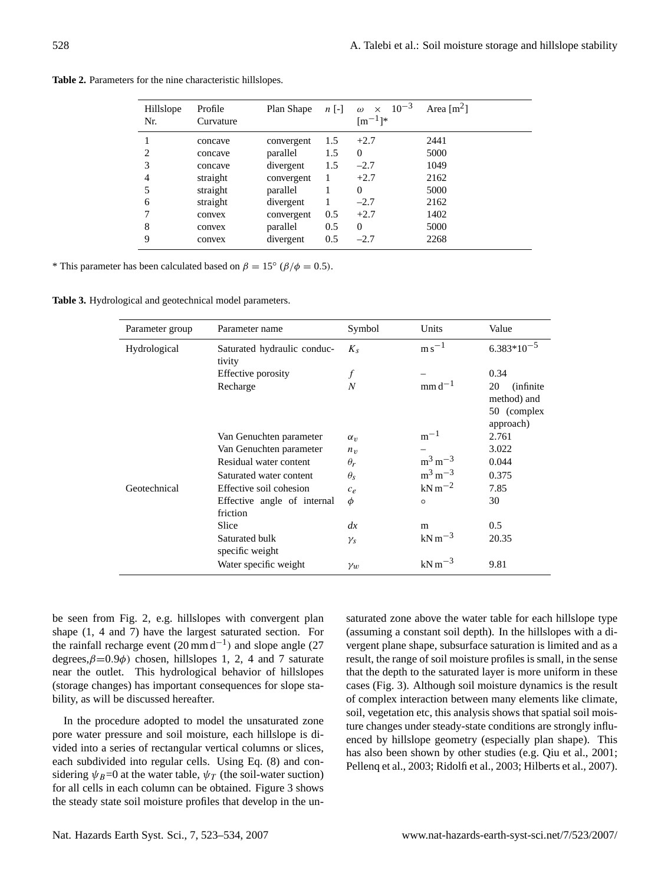|    |  |  |  | the steady state soil moisture profiles that develop in the un- |  |
|----|--|--|--|-----------------------------------------------------------------|--|
|    |  |  |  |                                                                 |  |
| __ |  |  |  |                                                                 |  |

be seen from Fig. 2, e.g. hillslopes with convergent plan shape (1, 4 and 7) have the largest saturated section. For the rainfall recharge event  $(20 \text{ mm d}^{-1})$  and slope angle  $(27$ degrees, $\beta$ =0.9 $\phi$ ) chosen, hillslopes 1, 2, 4 and 7 saturate near the outlet. This hydrological behavior of hillslopes (storage changes) has important consequences for slope sta-

In the procedure adopted to model the unsaturated zone pore water pressure and soil moisture, each hillslope is divided into a series of rectangular vertical columns or slices, each subdivided into regular cells. Using Eq. (8) and considering  $\psi_B=0$  at the water table,  $\psi_T$  (the soil-water suction) for all cells in each column can be obtained. Figure 3 shows

bility, as will be discussed hereafter.

saturated zone above the water table for each hillslope type (assuming a constant soil depth). In the hillslopes with a divergent plane shape, subsurface saturation is limited and as a result, the range of soil moisture profiles is small, in the sense that the depth to the saturated layer is more uniform in these cases (Fig. 3). Although soil moisture dynamics is the result of complex interaction between many elements like climate, soil, vegetation etc, this analysis shows that spatial soil moisture changes under steady-state conditions are strongly influenced by hillslope geometry (especially plan shape). This has also been shown by other studies (e.g. Qiu et al., 2001; Pellenq et al., 2003; Ridolfi et al., 2003; Hilberts et al., 2007).

| Hillslope<br>Nr. | Profile<br>Curvature | Plan Shape | $n$ [-] | $\omega \times 10^{-3}$<br>$\lceil m^{-1} \rceil^*$ | Area $\lceil m^2 \rceil$ |
|------------------|----------------------|------------|---------|-----------------------------------------------------|--------------------------|
|                  | concave              | convergent | 1.5     | $+2.7$                                              | 2441                     |
| 2                | concave              | parallel   | 1.5     | $\Omega$                                            | 5000                     |
| 3                | concave              | divergent  | 1.5     | $-2.7$                                              | 1049                     |
| 4                | straight             | convergent | 1       | $+2.7$                                              | 2162                     |
| 5                | straight             | parallel   |         | $\Omega$                                            | 5000                     |
| 6                | straight             | divergent  |         | $-2.7$                                              | 2162                     |
| 7                | convex               | convergent | 0.5     | $+2.7$                                              | 1402                     |
| 8                | convex               | parallel   | 0.5     | $\Omega$                                            | 5000                     |
| 9                | convex               | divergent  | 0.5     | $-2.7$                                              | 2268                     |

**Table 2.** Parameters for the nine characteristic hillslopes.

\* This parameter has been calculated based on  $\beta = 15^{\circ}$  ( $\beta/\phi = 0.5$ ).

**Table 3.** Hydrological and geotechnical model parameters.

| Parameter group | Parameter name                          | Symbol           | Units                         | Value                                                               |
|-----------------|-----------------------------------------|------------------|-------------------------------|---------------------------------------------------------------------|
| Hydrological    | Saturated hydraulic conduc-<br>tivity   | $K_{S}$          | $\mathrm{m}\,\mathrm{s}^{-1}$ | $6.383*10^{-5}$                                                     |
|                 | Effective porosity                      | f                |                               | 0.34                                                                |
|                 | Recharge                                | N                | $mm d^{-1}$                   | 20<br><i>(infinite)</i><br>method) and<br>50 (complex)<br>approach) |
|                 | Van Genuchten parameter                 | $\alpha_{\nu}$   | $m^{-1}$                      | 2.761                                                               |
|                 | Van Genuchten parameter                 | $n_v$            |                               | 3.022                                                               |
|                 | Residual water content                  | $\theta_r$       | $m^3 m^{-3}$                  | 0.044                                                               |
|                 | Saturated water content                 | $\theta_{\rm s}$ | $m^3 m^{-3}$                  | 0.375                                                               |
| Geotechnical    | Effective soil cohesion                 | $c_e$            | $kN m^{-2}$                   | 7.85                                                                |
|                 | Effective angle of internal<br>friction | $\phi$           | $\circ$                       | 30                                                                  |
|                 | Slice                                   | dx               | m                             | 0.5                                                                 |
|                 | Saturated bulk<br>specific weight       | $\gamma_{S}$     | $kNm^{-3}$                    | 20.35                                                               |
|                 | Water specific weight                   | $\gamma_w$       | $kN m^{-3}$                   | 9.81                                                                |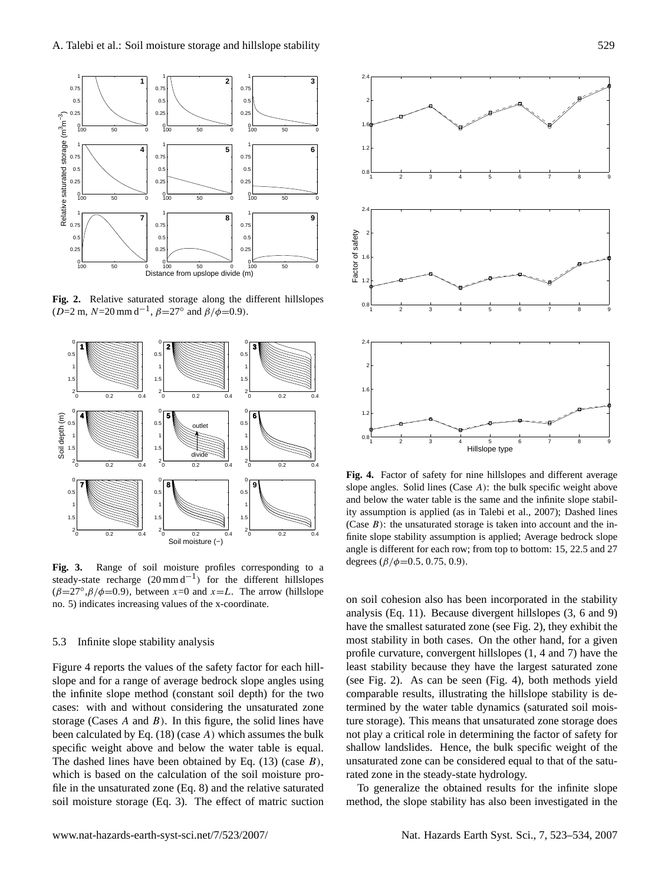

**Fig. 2.** Relative saturated storage along the different hillslopes ( $D=2$  m,  $N=20$  mm d<sup>-1</sup>,  $\beta=27^\circ$  and  $\beta/\phi=0.9$ ).



**Fig. 3.** Range of soil moisture profiles corresponding to a steady-state recharge  $(20 \text{ mm d}^{-1})$  for the different hillslopes  $(\beta=27^\circ, \beta/\phi=0.9)$ , between x=0 and x=L. The arrow (hillslope no. 5) indicates increasing values of the x-coordinate.

## 5.3 Infinite slope stability analysis

Figure 4 reports the values of the safety factor for each hillslope and for a range of average bedrock slope angles using the infinite slope method (constant soil depth) for the two cases: with and without considering the unsaturated zone storage (Cases  $A$  and  $B$ ). In this figure, the solid lines have been calculated by Eq. (18) (case A) which assumes the bulk specific weight above and below the water table is equal. The dashed lines have been obtained by Eq.  $(13)$  (case  $B$ ), which is based on the calculation of the soil moisture profile in the unsaturated zone (Eq. 8) and the relative saturated soil moisture storage (Eq. 3). The effect of matric suction



**Fig. 4.** Factor of safety for nine hillslopes and different average slope angles. Solid lines (Case A): the bulk specific weight above and below the water table is the same and the infinite slope stability assumption is applied (as in Talebi et al., 2007); Dashed lines (Case  $B$ ): the unsaturated storage is taken into account and the infinite slope stability assumption is applied; Average bedrock slope angle is different for each row; from top to bottom: 15, 22.5 and 27 degrees  $(\beta/\phi=0.5, 0.75, 0.9)$ .

on soil cohesion also has been incorporated in the stability analysis (Eq. 11). Because divergent hillslopes (3, 6 and 9) have the smallest saturated zone (see Fig. 2), they exhibit the most stability in both cases. On the other hand, for a given profile curvature, convergent hillslopes (1, 4 and 7) have the least stability because they have the largest saturated zone (see Fig. 2). As can be seen (Fig. 4), both methods yield comparable results, illustrating the hillslope stability is determined by the water table dynamics (saturated soil moisture storage). This means that unsaturated zone storage does not play a critical role in determining the factor of safety for shallow landslides. Hence, the bulk specific weight of the unsaturated zone can be considered equal to that of the saturated zone in the steady-state hydrology.

To generalize the obtained results for the infinite slope method, the slope stability has also been investigated in the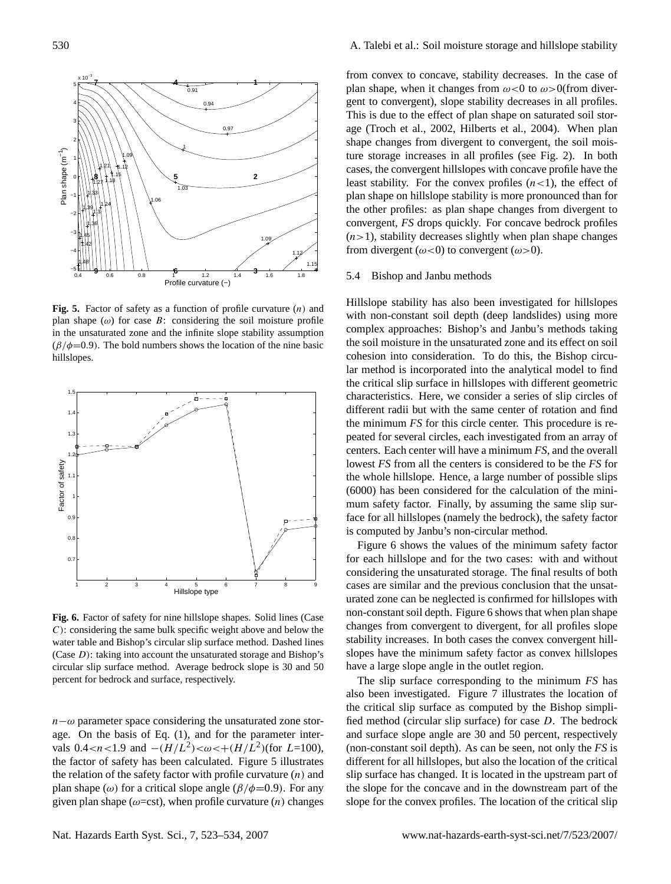

**Fig. 5.** Factor of safety as a function of profile curvature (n) and plan shape  $(\omega)$  for case B: considering the soil moisture profile in the unsaturated zone and the infinite slope stability assumption  $(\beta/\phi=0.9)$ . The bold numbers shows the location of the nine basic hillslopes.



**Fig. 6.** Factor of safety for nine hillslope shapes. Solid lines (Case C): considering the same bulk specific weight above and below the water table and Bishop's circular slip surface method. Dashed lines (Case D): taking into account the unsaturated storage and Bishop's circular slip surface method. Average bedrock slope is 30 and 50 percent for bedrock and surface, respectively.

 $n-\omega$  parameter space considering the unsaturated zone storage. On the basis of Eq. (1), and for the parameter intervals 0.4<n>-1.9 and  $-(H/L^2) < \omega < +(H/L^2)$  (for L=100), the factor of safety has been calculated. Figure 5 illustrates the relation of the safety factor with profile curvature  $(n)$  and plan shape (ω) for a critical slope angle ( $\beta/\phi$ =0.9). For any given plan shape ( $\omega$ =cst), when profile curvature (*n*) changes

from convex to concave, stability decreases. In the case of plan shape, when it changes from  $\omega < 0$  to  $\omega > 0$  (from divergent to convergent), slope stability decreases in all profiles. This is due to the effect of plan shape on saturated soil storage (Troch et al., 2002, Hilberts et al., 2004). When plan shape changes from divergent to convergent, the soil moisture storage increases in all profiles (see Fig. 2). In both cases, the convergent hillslopes with concave profile have the least stability. For the convex profiles  $(n<1)$ , the effect of plan shape on hillslope stability is more pronounced than for the other profiles: as plan shape changes from divergent to convergent, *FS* drops quickly. For concave bedrock profiles  $(n>1)$ , stability decreases slightly when plan shape changes from divergent ( $\omega$ <0) to convergent ( $\omega$ >0).

#### 5.4 Bishop and Janbu methods

Hillslope stability has also been investigated for hillslopes with non-constant soil depth (deep landslides) using more complex approaches: Bishop's and Janbu's methods taking the soil moisture in the unsaturated zone and its effect on soil cohesion into consideration. To do this, the Bishop circular method is incorporated into the analytical model to find the critical slip surface in hillslopes with different geometric characteristics. Here, we consider a series of slip circles of different radii but with the same center of rotation and find the minimum *FS* for this circle center. This procedure is repeated for several circles, each investigated from an array of centers. Each center will have a minimum *FS*, and the overall lowest *FS* from all the centers is considered to be the *FS* for the whole hillslope. Hence, a large number of possible slips (6000) has been considered for the calculation of the minimum safety factor. Finally, by assuming the same slip surface for all hillslopes (namely the bedrock), the safety factor is computed by Janbu's non-circular method.

Figure 6 shows the values of the minimum safety factor for each hillslope and for the two cases: with and without considering the unsaturated storage. The final results of both cases are similar and the previous conclusion that the unsaturated zone can be neglected is confirmed for hillslopes with non-constant soil depth. Figure 6 shows that when plan shape changes from convergent to divergent, for all profiles slope stability increases. In both cases the convex convergent hillslopes have the minimum safety factor as convex hillslopes have a large slope angle in the outlet region.

The slip surface corresponding to the minimum *FS* has also been investigated. Figure 7 illustrates the location of the critical slip surface as computed by the Bishop simplified method (circular slip surface) for case D. The bedrock and surface slope angle are 30 and 50 percent, respectively (non-constant soil depth). As can be seen, not only the *FS* is different for all hillslopes, but also the location of the critical slip surface has changed. It is located in the upstream part of the slope for the concave and in the downstream part of the slope for the convex profiles. The location of the critical slip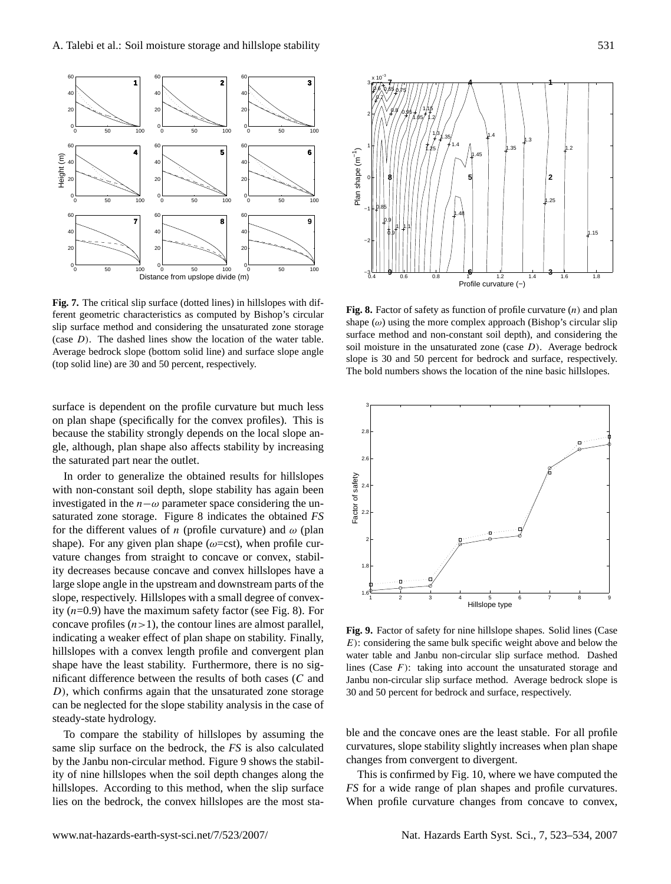

**Fig. 7.** The critical slip surface (dotted lines) in hillslopes with different geometric characteristics as computed by Bishop's circular slip surface method and considering the unsaturated zone storage (case D). The dashed lines show the location of the water table. Average bedrock slope (bottom solid line) and surface slope angle (top solid line) are 30 and 50 percent, respectively.

surface is dependent on the profile curvature but much less on plan shape (specifically for the convex profiles). This is because the stability strongly depends on the local slope angle, although, plan shape also affects stability by increasing the saturated part near the outlet.

In order to generalize the obtained results for hillslopes with non-constant soil depth, slope stability has again been investigated in the  $n-\omega$  parameter space considering the unsaturated zone storage. Figure 8 indicates the obtained *FS* for the different values of *n* (profile curvature) and  $\omega$  (plan shape). For any given plan shape ( $\omega = \text{cst}$ ), when profile curvature changes from straight to concave or convex, stability decreases because concave and convex hillslopes have a large slope angle in the upstream and downstream parts of the slope, respectively. Hillslopes with a small degree of convexity  $(n=0.9)$  have the maximum safety factor (see Fig. 8). For concave profiles  $(n>1)$ , the contour lines are almost parallel, indicating a weaker effect of plan shape on stability. Finally, hillslopes with a convex length profile and convergent plan shape have the least stability. Furthermore, there is no significant difference between the results of both cases (C and  $D$ ), which confirms again that the unsaturated zone storage can be neglected for the slope stability analysis in the case of steady-state hydrology.

To compare the stability of hillslopes by assuming the same slip surface on the bedrock, the *FS* is also calculated by the Janbu non-circular method. Figure 9 shows the stability of nine hillslopes when the soil depth changes along the hillslopes. According to this method, when the slip surface lies on the bedrock, the convex hillslopes are the most sta-



**Fig. 8.** Factor of safety as function of profile curvature  $(n)$  and plan shape  $(\omega)$  using the more complex approach (Bishop's circular slip surface method and non-constant soil depth), and considering the soil moisture in the unsaturated zone (case  $D$ ). Average bedrock slope is 30 and 50 percent for bedrock and surface, respectively. The bold numbers shows the location of the nine basic hillslopes.



**Fig. 9.** Factor of safety for nine hillslope shapes. Solid lines (Case  $E$ ): considering the same bulk specific weight above and below the water table and Janbu non-circular slip surface method. Dashed lines (Case  $F$ ): taking into account the unsaturated storage and Janbu non-circular slip surface method. Average bedrock slope is 30 and 50 percent for bedrock and surface, respectively.

ble and the concave ones are the least stable. For all profile curvatures, slope stability slightly increases when plan shape changes from convergent to divergent.

This is confirmed by Fig. 10, where we have computed the *FS* for a wide range of plan shapes and profile curvatures. When profile curvature changes from concave to convex,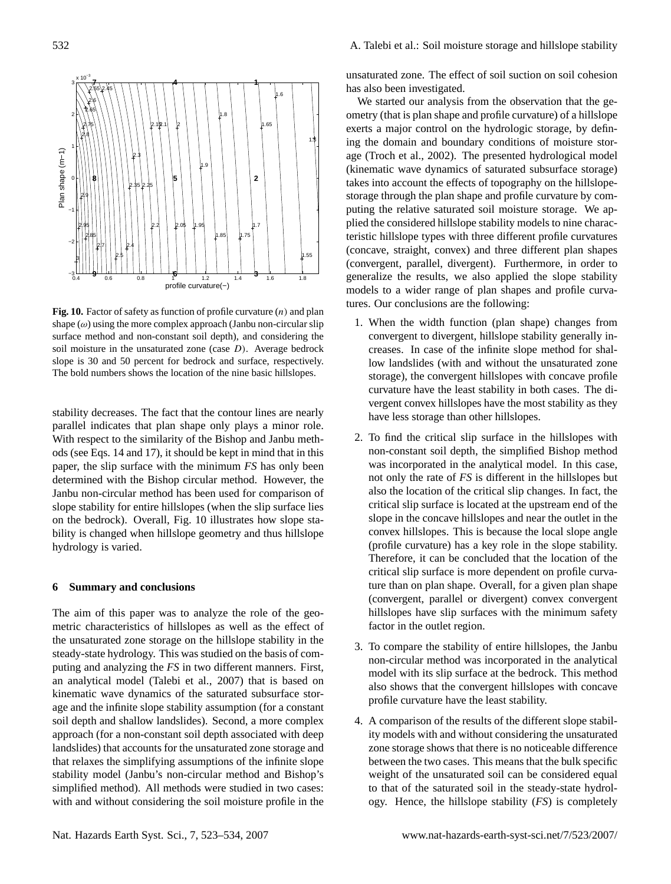

**Fig. 10.** Factor of safety as function of profile curvature (*n*) and plan shape  $(\omega)$  using the more complex approach (Janbu non-circular slip surface method and non-constant soil depth), and considering the soil moisture in the unsaturated zone (case  $D$ ). Average bedrock slope is 30 and 50 percent for bedrock and surface, respectively. The bold numbers shows the location of the nine basic hillslopes.

stability decreases. The fact that the contour lines are nearly parallel indicates that plan shape only plays a minor role. With respect to the similarity of the Bishop and Janbu methods (see Eqs. 14 and 17), it should be kept in mind that in this paper, the slip surface with the minimum *FS* has only been determined with the Bishop circular method. However, the Janbu non-circular method has been used for comparison of slope stability for entire hillslopes (when the slip surface lies on the bedrock). Overall, Fig. 10 illustrates how slope stability is changed when hillslope geometry and thus hillslope hydrology is varied.

#### **6 Summary and conclusions**

The aim of this paper was to analyze the role of the geometric characteristics of hillslopes as well as the effect of the unsaturated zone storage on the hillslope stability in the steady-state hydrology. This was studied on the basis of computing and analyzing the *FS* in two different manners. First, an analytical model (Talebi et al., 2007) that is based on kinematic wave dynamics of the saturated subsurface storage and the infinite slope stability assumption (for a constant soil depth and shallow landslides). Second, a more complex approach (for a non-constant soil depth associated with deep landslides) that accounts for the unsaturated zone storage and that relaxes the simplifying assumptions of the infinite slope stability model (Janbu's non-circular method and Bishop's simplified method). All methods were studied in two cases: with and without considering the soil moisture profile in the unsaturated zone. The effect of soil suction on soil cohesion has also been investigated.

We started our analysis from the observation that the geometry (that is plan shape and profile curvature) of a hillslope exerts a major control on the hydrologic storage, by defining the domain and boundary conditions of moisture storage (Troch et al., 2002). The presented hydrological model (kinematic wave dynamics of saturated subsurface storage) takes into account the effects of topography on the hillslopestorage through the plan shape and profile curvature by computing the relative saturated soil moisture storage. We applied the considered hillslope stability models to nine characteristic hillslope types with three different profile curvatures (concave, straight, convex) and three different plan shapes (convergent, parallel, divergent). Furthermore, in order to generalize the results, we also applied the slope stability models to a wider range of plan shapes and profile curvatures. Our conclusions are the following:

- 1. When the width function (plan shape) changes from convergent to divergent, hillslope stability generally increases. In case of the infinite slope method for shallow landslides (with and without the unsaturated zone storage), the convergent hillslopes with concave profile curvature have the least stability in both cases. The divergent convex hillslopes have the most stability as they have less storage than other hillslopes.
- 2. To find the critical slip surface in the hillslopes with non-constant soil depth, the simplified Bishop method was incorporated in the analytical model. In this case, not only the rate of *FS* is different in the hillslopes but also the location of the critical slip changes. In fact, the critical slip surface is located at the upstream end of the slope in the concave hillslopes and near the outlet in the convex hillslopes. This is because the local slope angle (profile curvature) has a key role in the slope stability. Therefore, it can be concluded that the location of the critical slip surface is more dependent on profile curvature than on plan shape. Overall, for a given plan shape (convergent, parallel or divergent) convex convergent hillslopes have slip surfaces with the minimum safety factor in the outlet region.
- 3. To compare the stability of entire hillslopes, the Janbu non-circular method was incorporated in the analytical model with its slip surface at the bedrock. This method also shows that the convergent hillslopes with concave profile curvature have the least stability.
- 4. A comparison of the results of the different slope stability models with and without considering the unsaturated zone storage shows that there is no noticeable difference between the two cases. This means that the bulk specific weight of the unsaturated soil can be considered equal to that of the saturated soil in the steady-state hydrology. Hence, the hillslope stability (*FS*) is completely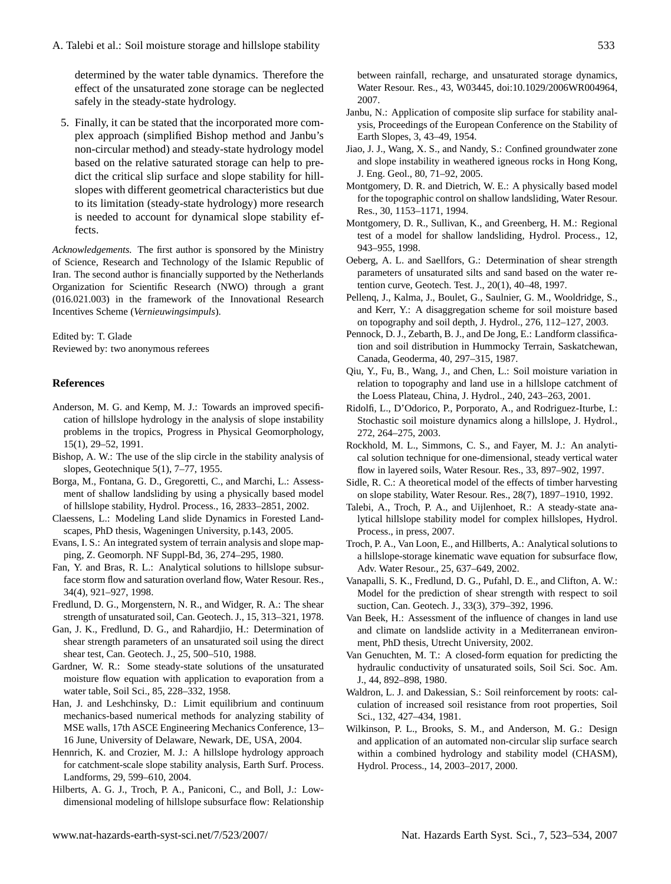determined by the water table dynamics. Therefore the effect of the unsaturated zone storage can be neglected safely in the steady-state hydrology.

5. Finally, it can be stated that the incorporated more complex approach (simplified Bishop method and Janbu's non-circular method) and steady-state hydrology model based on the relative saturated storage can help to predict the critical slip surface and slope stability for hillslopes with different geometrical characteristics but due to its limitation (steady-state hydrology) more research is needed to account for dynamical slope stability effects.

*Acknowledgements.* The first author is sponsored by the Ministry of Science, Research and Technology of the Islamic Republic of Iran. The second author is financially supported by the Netherlands Organization for Scientific Research (NWO) through a grant (016.021.003) in the framework of the Innovational Research Incentives Scheme (*Vernieuwingsimpuls*).

Edited by: T. Glade Reviewed by: two anonymous referees

## **References**

- Anderson, M. G. and Kemp, M. J.: Towards an improved specification of hillslope hydrology in the analysis of slope instability problems in the tropics, Progress in Physical Geomorphology, 15(1), 29–52, 1991.
- Bishop, A. W.: The use of the slip circle in the stability analysis of slopes, Geotechnique 5(1), 7–77, 1955.
- Borga, M., Fontana, G. D., Gregoretti, C., and Marchi, L.: Assessment of shallow landsliding by using a physically based model of hillslope stability, Hydrol. Process., 16, 2833–2851, 2002.
- Claessens, L.: Modeling Land slide Dynamics in Forested Landscapes, PhD thesis, Wageningen University, p.143, 2005.
- Evans, I. S.: An integrated system of terrain analysis and slope mapping, Z. Geomorph. NF Suppl-Bd, 36, 274–295, 1980.
- Fan, Y. and Bras, R. L.: Analytical solutions to hillslope subsurface storm flow and saturation overland flow, Water Resour. Res., 34(4), 921–927, 1998.
- Fredlund, D. G., Morgenstern, N. R., and Widger, R. A.: The shear strength of unsaturated soil, Can. Geotech. J., 15, 313–321, 1978.
- Gan, J. K., Fredlund, D. G., and Rahardjio, H.: Determination of shear strength parameters of an unsaturated soil using the direct shear test, Can. Geotech. J., 25, 500–510, 1988.
- Gardner, W. R.: Some steady-state solutions of the unsaturated moisture flow equation with application to evaporation from a water table, Soil Sci., 85, 228–332, 1958.
- Han, J. and Leshchinsky, D.: Limit equilibrium and continuum mechanics-based numerical methods for analyzing stability of MSE walls, 17th ASCE Engineering Mechanics Conference, 13– 16 June, University of Delaware, Newark, DE, USA, 2004.
- Hennrich, K. and Crozier, M. J.: A hillslope hydrology approach for catchment-scale slope stability analysis, Earth Surf. Process. Landforms, 29, 599–610, 2004.
- Hilberts, A. G. J., Troch, P. A., Paniconi, C., and Boll, J.: Lowdimensional modeling of hillslope subsurface flow: Relationship

between rainfall, recharge, and unsaturated storage dynamics, Water Resour. Res., 43, W03445, doi:10.1029/2006WR004964, 2007.

- Janbu, N.: Application of composite slip surface for stability analysis, Proceedings of the European Conference on the Stability of Earth Slopes, 3, 43–49, 1954.
- Jiao, J. J., Wang, X. S., and Nandy, S.: Confined groundwater zone and slope instability in weathered igneous rocks in Hong Kong, J. Eng. Geol., 80, 71–92, 2005.
- Montgomery, D. R. and Dietrich, W. E.: A physically based model for the topographic control on shallow landsliding, Water Resour. Res., 30, 1153–1171, 1994.
- Montgomery, D. R., Sullivan, K., and Greenberg, H. M.: Regional test of a model for shallow landsliding, Hydrol. Process., 12, 943–955, 1998.
- Oeberg, A. L. and Saellfors, G.: Determination of shear strength parameters of unsaturated silts and sand based on the water retention curve, Geotech. Test. J., 20(1), 40–48, 1997.
- Pellenq, J., Kalma, J., Boulet, G., Saulnier, G. M., Wooldridge, S., and Kerr, Y.: A disaggregation scheme for soil moisture based on topography and soil depth, J. Hydrol., 276, 112–127, 2003.
- Pennock, D. J., Zebarth, B. J., and De Jong, E.: Landform classification and soil distribution in Hummocky Terrain, Saskatchewan, Canada, Geoderma, 40, 297–315, 1987.
- Qiu, Y., Fu, B., Wang, J., and Chen, L.: Soil moisture variation in relation to topography and land use in a hillslope catchment of the Loess Plateau, China, J. Hydrol., 240, 243–263, 2001.
- Ridolfi, L., D'Odorico, P., Porporato, A., and Rodriguez-Iturbe, I.: Stochastic soil moisture dynamics along a hillslope, J. Hydrol., 272, 264–275, 2003.
- Rockhold, M. L., Simmons, C. S., and Fayer, M. J.: An analytical solution technique for one-dimensional, steady vertical water flow in layered soils, Water Resour. Res., 33, 897–902, 1997.
- Sidle, R. C.: A theoretical model of the effects of timber harvesting on slope stability, Water Resour. Res., 28(7), 1897–1910, 1992.
- Talebi, A., Troch, P. A., and Uijlenhoet, R.: A steady-state analytical hillslope stability model for complex hillslopes, Hydrol. Process., in press, 2007.
- Troch, P. A., Van Loon, E., and Hillberts, A.: Analytical solutions to a hillslope-storage kinematic wave equation for subsurface flow, Adv. Water Resour., 25, 637–649, 2002.
- Vanapalli, S. K., Fredlund, D. G., Pufahl, D. E., and Clifton, A. W.: Model for the prediction of shear strength with respect to soil suction, Can. Geotech. J., 33(3), 379–392, 1996.
- Van Beek, H.: Assessment of the influence of changes in land use and climate on landslide activity in a Mediterranean environment, PhD thesis, Utrecht University, 2002.
- Van Genuchten, M. T.: A closed-form equation for predicting the hydraulic conductivity of unsaturated soils, Soil Sci. Soc. Am. J., 44, 892–898, 1980.
- Waldron, L. J. and Dakessian, S.: Soil reinforcement by roots: calculation of increased soil resistance from root properties, Soil Sci., 132, 427–434, 1981.
- Wilkinson, P. L., Brooks, S. M., and Anderson, M. G.: Design and application of an automated non-circular slip surface search within a combined hydrology and stability model (CHASM), Hydrol. Process., 14, 2003–2017, 2000.